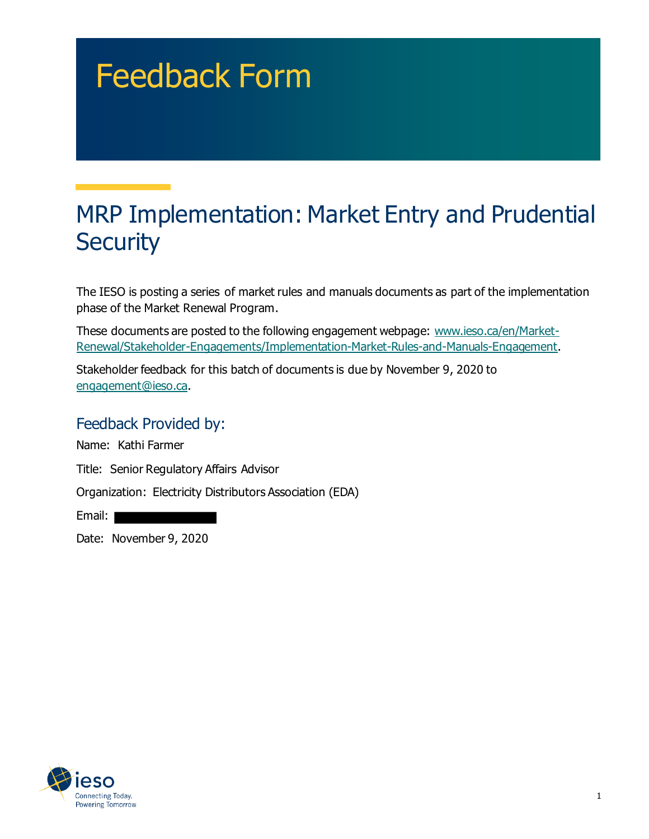# Feedback Form

# MRP Implementation: Market Entry and Prudential **Security**

The IESO is posting a series of market rules and manuals documents as part of the implementation phase of the Market Renewal Program.

These documents are posted to the following engagement webpage: [www.ieso.ca/en/Market-](http://www.ieso.ca/en/Market-Renewal/Stakeholder-Engagements/Implementation-Market-Rules-and-Manuals-Engagement)[Renewal/Stakeholder-Engagements/Implementation-Market-Rules-and-Manuals-Engagement](http://www.ieso.ca/en/Market-Renewal/Stakeholder-Engagements/Implementation-Market-Rules-and-Manuals-Engagement).

Stakeholder feedback for this batch of documents is due by November 9, 2020 to [engagement@ieso.ca.](mailto:engagement@ieso.ca)

#### Feedback Provided by:

Name: Kathi Farmer

Title: Senior Regulatory Affairs Advisor

Organization: Electricity Distributors Association (EDA)

Email:

Date: November 9, 2020

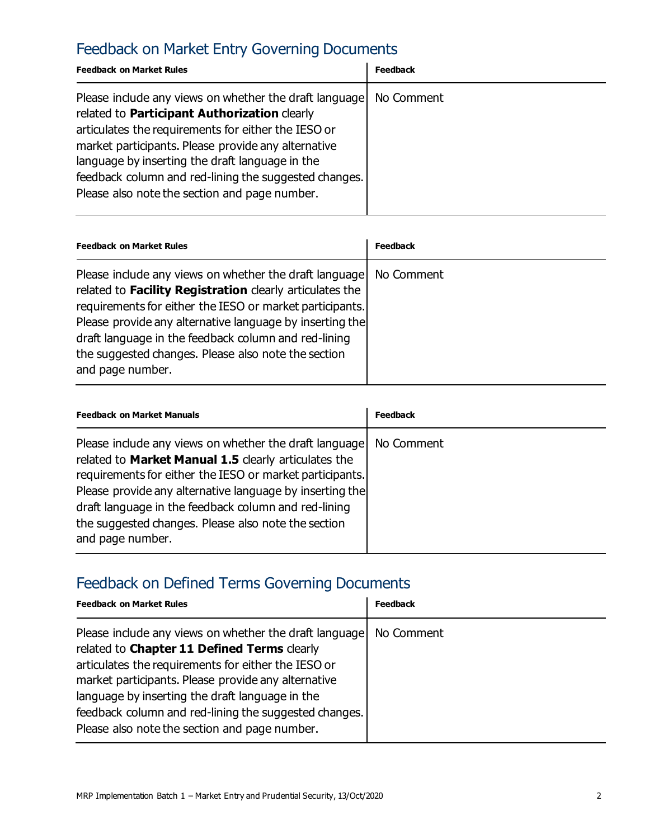# Feedback on Market Entry Governing Documents

| <b>Feedback on Market Rules</b>                                                                                                                                                                                                                                                                                                                                                   | Feedback   |
|-----------------------------------------------------------------------------------------------------------------------------------------------------------------------------------------------------------------------------------------------------------------------------------------------------------------------------------------------------------------------------------|------------|
| Please include any views on whether the draft language<br>related to Participant Authorization clearly<br>articulates the requirements for either the IESO or<br>market participants. Please provide any alternative<br>language by inserting the draft language in the<br>feedback column and red-lining the suggested changes.<br>Please also note the section and page number. | No Comment |

| <b>Feedback on Market Rules</b>                                                                                                                                                                                                                                                                                                                                               | Feedback   |
|-------------------------------------------------------------------------------------------------------------------------------------------------------------------------------------------------------------------------------------------------------------------------------------------------------------------------------------------------------------------------------|------------|
| Please include any views on whether the draft language<br>related to Facility Registration clearly articulates the<br>requirements for either the IESO or market participants.<br>Please provide any alternative language by inserting the<br>draft language in the feedback column and red-lining<br>the suggested changes. Please also note the section<br>and page number. | No Comment |

| <b>Feedback on Market Manuals</b>                                                                                                                                                                                                                                                                                                                                         | Feedback   |
|---------------------------------------------------------------------------------------------------------------------------------------------------------------------------------------------------------------------------------------------------------------------------------------------------------------------------------------------------------------------------|------------|
| Please include any views on whether the draft language<br>related to Market Manual 1.5 clearly articulates the<br>requirements for either the IESO or market participants.<br>Please provide any alternative language by inserting the<br>draft language in the feedback column and red-lining<br>the suggested changes. Please also note the section<br>and page number. | No Comment |

# Feedback on Defined Terms Governing Documents

| <b>Feedback on Market Rules</b>                                                                                                                                                                                                                                                                                                                                                  | <b>Feedback</b> |
|----------------------------------------------------------------------------------------------------------------------------------------------------------------------------------------------------------------------------------------------------------------------------------------------------------------------------------------------------------------------------------|-----------------|
| Please include any views on whether the draft language<br>related to Chapter 11 Defined Terms clearly<br>articulates the requirements for either the IESO or<br>market participants. Please provide any alternative<br>language by inserting the draft language in the<br>feedback column and red-lining the suggested changes.<br>Please also note the section and page number. | No Comment      |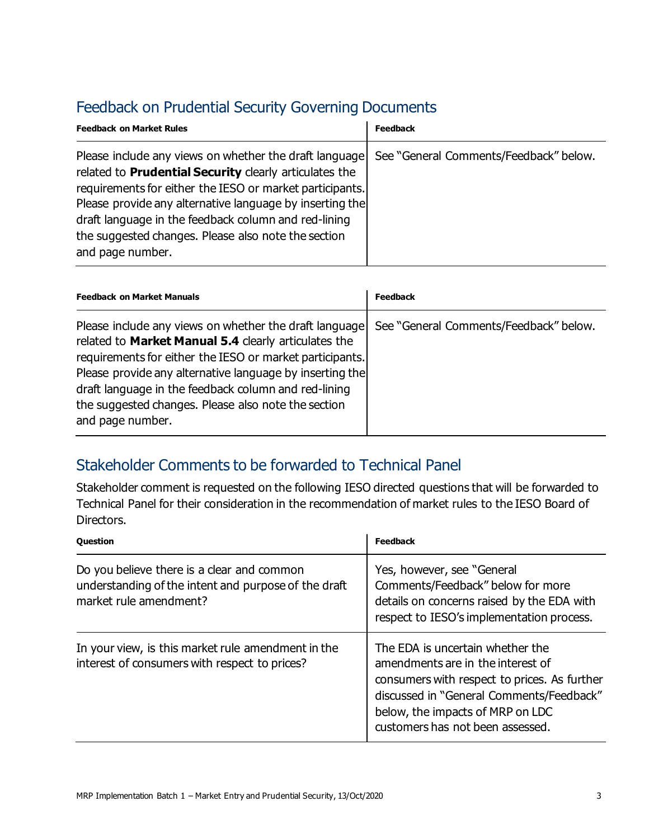# Feedback on Prudential Security Governing Documents

| <b>Feedback on Market Rules</b>                                                                                                                                                                                                                                                                                                                                             | <b>Feedback</b>                        |
|-----------------------------------------------------------------------------------------------------------------------------------------------------------------------------------------------------------------------------------------------------------------------------------------------------------------------------------------------------------------------------|----------------------------------------|
| Please include any views on whether the draft language<br>related to Prudential Security clearly articulates the<br>requirements for either the IESO or market participants.<br>Please provide any alternative language by inserting the<br>draft language in the feedback column and red-lining<br>the suggested changes. Please also note the section<br>and page number. | See "General Comments/Feedback" below. |

| <b>Feedback on Market Manuals</b>                                                                                                                                                                                                                                                                                                                                         | <b>Feedback</b>                        |
|---------------------------------------------------------------------------------------------------------------------------------------------------------------------------------------------------------------------------------------------------------------------------------------------------------------------------------------------------------------------------|----------------------------------------|
| Please include any views on whether the draft language<br>related to Market Manual 5.4 clearly articulates the<br>requirements for either the IESO or market participants.<br>Please provide any alternative language by inserting the<br>draft language in the feedback column and red-lining<br>the suggested changes. Please also note the section<br>and page number. | See "General Comments/Feedback" below. |

### Stakeholder Comments to be forwarded to Technical Panel

Stakeholder comment is requested on the following IESO directed questions that will be forwarded to Technical Panel for their consideration in the recommendation of market rules to the IESO Board of Directors.

| <b>Question</b>                                                                                                              | <b>Feedback</b>                                                                                                                                                                                                                           |
|------------------------------------------------------------------------------------------------------------------------------|-------------------------------------------------------------------------------------------------------------------------------------------------------------------------------------------------------------------------------------------|
| Do you believe there is a clear and common<br>understanding of the intent and purpose of the draft<br>market rule amendment? | Yes, however, see "General<br>Comments/Feedback" below for more<br>details on concerns raised by the EDA with<br>respect to IESO's implementation process.                                                                                |
| In your view, is this market rule amendment in the<br>interest of consumers with respect to prices?                          | The EDA is uncertain whether the<br>amendments are in the interest of<br>consumers with respect to prices. As further<br>discussed in "General Comments/Feedback"<br>below, the impacts of MRP on LDC<br>customers has not been assessed. |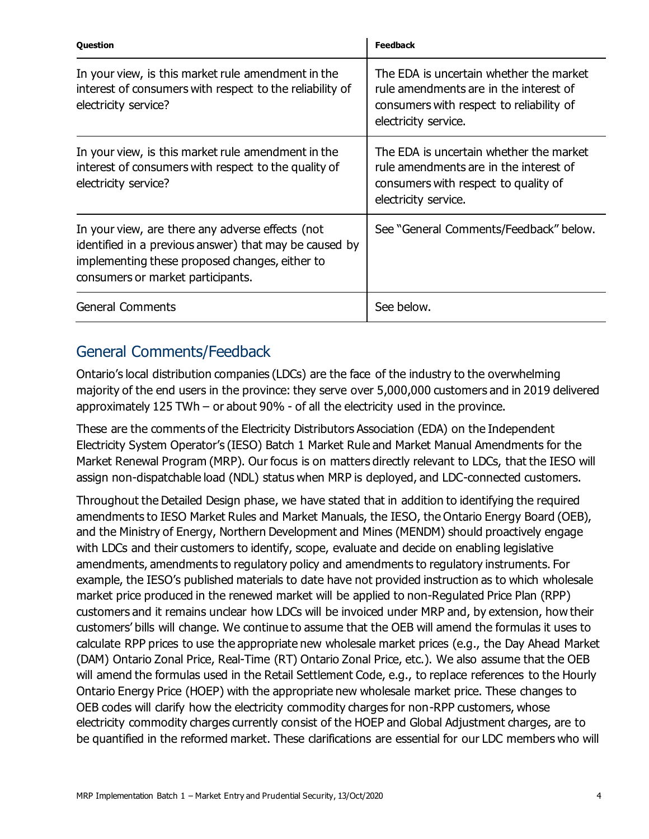| <b>Question</b>                                                                                                                                                                                   | <b>Feedback</b>                                                                                                                                       |
|---------------------------------------------------------------------------------------------------------------------------------------------------------------------------------------------------|-------------------------------------------------------------------------------------------------------------------------------------------------------|
| In your view, is this market rule amendment in the<br>interest of consumers with respect to the reliability of<br>electricity service?                                                            | The EDA is uncertain whether the market<br>rule amendments are in the interest of<br>consumers with respect to reliability of<br>electricity service. |
| In your view, is this market rule amendment in the<br>interest of consumers with respect to the quality of<br>electricity service?                                                                | The EDA is uncertain whether the market<br>rule amendments are in the interest of<br>consumers with respect to quality of<br>electricity service.     |
| In your view, are there any adverse effects (not<br>identified in a previous answer) that may be caused by<br>implementing these proposed changes, either to<br>consumers or market participants. | See "General Comments/Feedback" below.                                                                                                                |
| <b>General Comments</b>                                                                                                                                                                           | See below.                                                                                                                                            |

#### General Comments/Feedback

Ontario's local distribution companies (LDCs) are the face of the industry to the overwhelming majority of the end users in the province: they serve over 5,000,000 customers and in 2019 delivered approximately 125 TWh – or about 90% - of all the electricity used in the province.

These are the comments of the Electricity Distributors Association (EDA) on the Independent Electricity System Operator's (IESO) Batch 1 Market Rule and Market Manual Amendments for the Market Renewal Program (MRP). Our focus is on matters directly relevant to LDCs, that the IESO will assign non-dispatchable load (NDL) status when MRP is deployed, and LDC-connected customers.

Throughout the Detailed Design phase, we have stated that in addition to identifying the required amendments to IESO Market Rules and Market Manuals, the IESO, the Ontario Energy Board (OEB), and the Ministry of Energy, Northern Development and Mines (MENDM) should proactively engage with LDCs and their customers to identify, scope, evaluate and decide on enabling legislative amendments, amendments to regulatory policy and amendments to regulatory instruments. For example, the IESO's published materials to date have not provided instruction as to which wholesale market price produced in the renewed market will be applied to non-Regulated Price Plan (RPP) customers and it remains unclear how LDCs will be invoiced under MRP and, by extension, how their customers' bills will change. We continue to assume that the OEB will amend the formulas it uses to calculate RPP prices to use the appropriate new wholesale market prices (e.g., the Day Ahead Market (DAM) Ontario Zonal Price, Real-Time (RT) Ontario Zonal Price, etc.). We also assume that the OEB will amend the formulas used in the Retail Settlement Code, e.g., to replace references to the Hourly Ontario Energy Price (HOEP) with the appropriate new wholesale market price. These changes to OEB codes will clarify how the electricity commodity charges for non-RPP customers, whose electricity commodity charges currently consist of the HOEP and Global Adjustment charges, are to be quantified in the reformed market. These clarifications are essential for our LDC members who will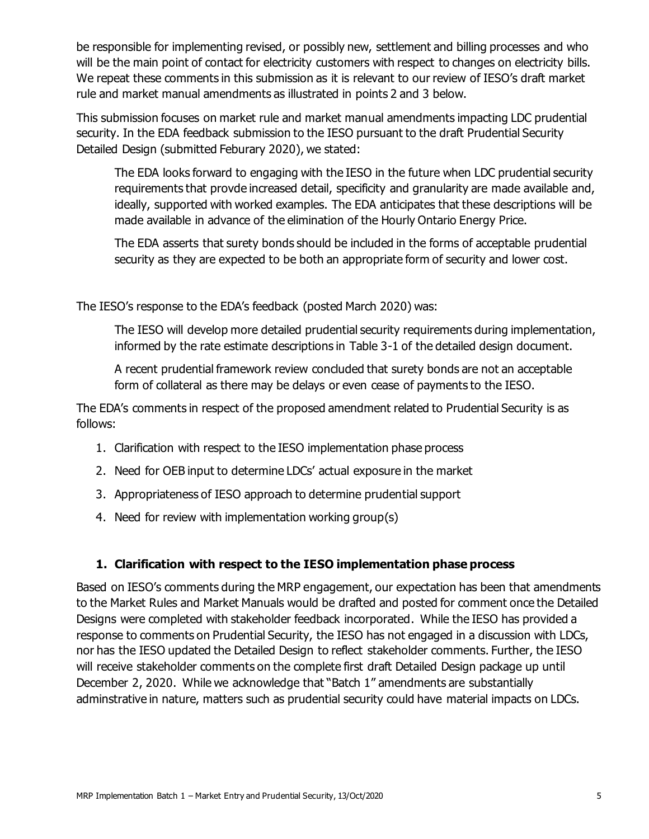be responsible for implementing revised, or possibly new, settlement and billing processes and who will be the main point of contact for electricity customers with respect to changes on electricity bills. We repeat these comments in this submission as it is relevant to our review of IESO's draft market rule and market manual amendments as illustrated in points 2 and 3 below.

This submission focuses on market rule and market manual amendments impacting LDC prudential security. In the EDA feedback submission to the IESO pursuant to the draft Prudential Security Detailed Design (submitted Feburary 2020), we stated:

The EDA looks forward to engaging with the IESO in the future when LDC prudential security requirements that provde increased detail, specificity and granularity are made available and, ideally, supported with worked examples. The EDA anticipates that these descriptions will be made available in advance of the elimination of the Hourly Ontario Energy Price.

The EDA asserts that surety bonds should be included in the forms of acceptable prudential security as they are expected to be both an appropriate form of security and lower cost.

The IESO's response to the EDA's feedback (posted March 2020) was:

The IESO will develop more detailed prudential security requirements during implementation, informed by the rate estimate descriptions in Table 3-1 of the detailed design document.

A recent prudential framework review concluded that surety bonds are not an acceptable form of collateral as there may be delays or even cease of payments to the IESO.

The EDA's comments in respect of the proposed amendment related to Prudential Security is as follows:

- 1. Clarification with respect to the IESO implementation phase process
- 2. Need for OEB input to determine LDCs' actual exposure in the market
- 3. Appropriateness of IESO approach to determine prudential support
- 4. Need for review with implementation working group(s)

#### **1. Clarification with respect to the IESO implementation phase process**

Based on IESO's comments during the MRP engagement, our expectation has been that amendments to the Market Rules and Market Manuals would be drafted and posted for comment once the Detailed Designs were completed with stakeholder feedback incorporated. While the IESO has provided a response to comments on Prudential Security, the IESO has not engaged in a discussion with LDCs, nor has the IESO updated the Detailed Design to reflect stakeholder comments. Further, the IESO will receive stakeholder comments on the complete first draft Detailed Design package up until December 2, 2020. While we acknowledge that "Batch 1" amendments are substantially adminstrative in nature, matters such as prudential security could have material impacts on LDCs.